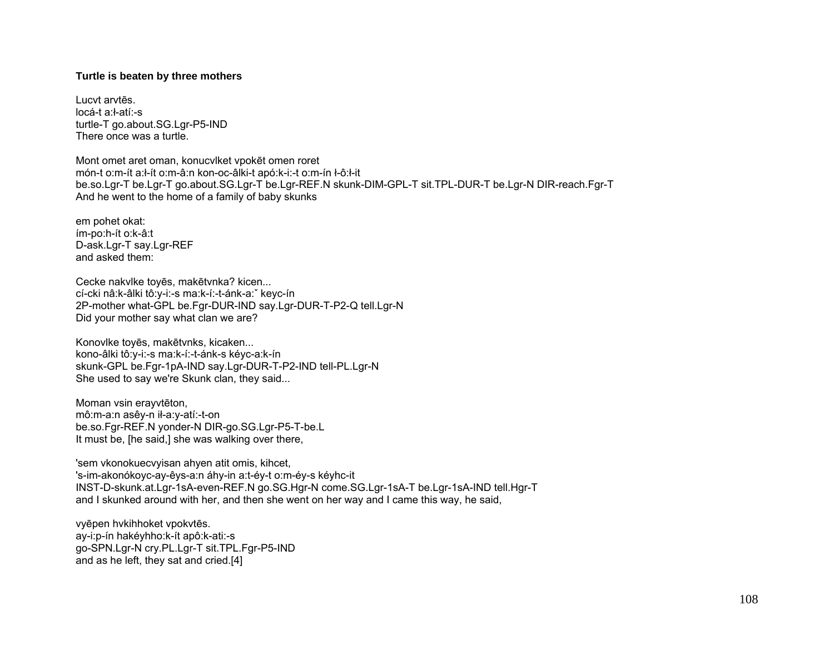## **Turtle is beaten by three mothers**

Lucvt arvtēs. locá-t a:ł-atí:-s turtle-T go.about.SG.Lgr-P5-IND There once was a turtle.

Mont omet aret oman, konucvlket vpokēt omen roret món-t o:m-ít a:ł-ít o:m-â:n kon-oc-âlki-t apó:k-i:-t o:m-ín ł-ô:ł-it be.so.Lgr-T be.Lgr-T go.about.SG.Lgr-T be.Lgr-REF.N skunk-DIM-GPL-T sit.TPL-DUR-T be.Lgr-N DIR-reach.Fgr-T And he went to the home of a family of baby skunks

em pohet okat: ím-po:h-ít o:k-â:t D-ask.Lgr-T say.Lgr-REF and asked them:

Cecke nakvlke toyēs, makētvnka? kicen... cí-cki nâ:k-âlki tô:y-i:-s ma:k-í:-t-ánk-a:ˇ keyc-ín 2P-mother what-GPL be.Fgr-DUR-IND say.Lgr-DUR-T-P2-Q tell.Lgr-N Did your mother say what clan we are?

Konovlke toyēs, makētvnks, kicaken... kono-âlki tô:y-i:-s ma:k-í:-t-ánk-s kéyc-a:k-ín skunk-GPL be.Fgr-1pA-IND say.Lgr-DUR-T-P2-IND tell-PL.Lgr-N She used to say we're Skunk clan, they said...

Moman vsin erayvtēton, mô:m-a:n asêy-n ił-a:y-atí:-t-on be.so.Fgr-REF.N yonder-N DIR-go.SG.Lgr-P5-T-be.L It must be, [he said,] she was walking over there,

'sem vkonokuecvyisan ahyen atit omis, kihcet, 's-im-akonókoyc-ay-êys-a:n áhy-in a:t-éy-t o:m-éy-s kéyhc-it INST-D-skunk.at.Lgr-1sA-even-REF.N go.SG.Hgr-N come.SG.Lgr-1sA-T be.Lgr-1sA-IND tell.Hgr-T and I skunked around with her, and then she went on her way and I came this way, he said,

vyēpen hvkihhoket vpokvtēs. ay-i:p-ín hakéyhho:k-ít apô:k-ati:-s go-SPN.Lgr-N cry.PL.Lgr-T sit.TPL.Fgr-P5-IND and as he left, they sat and cried.[4]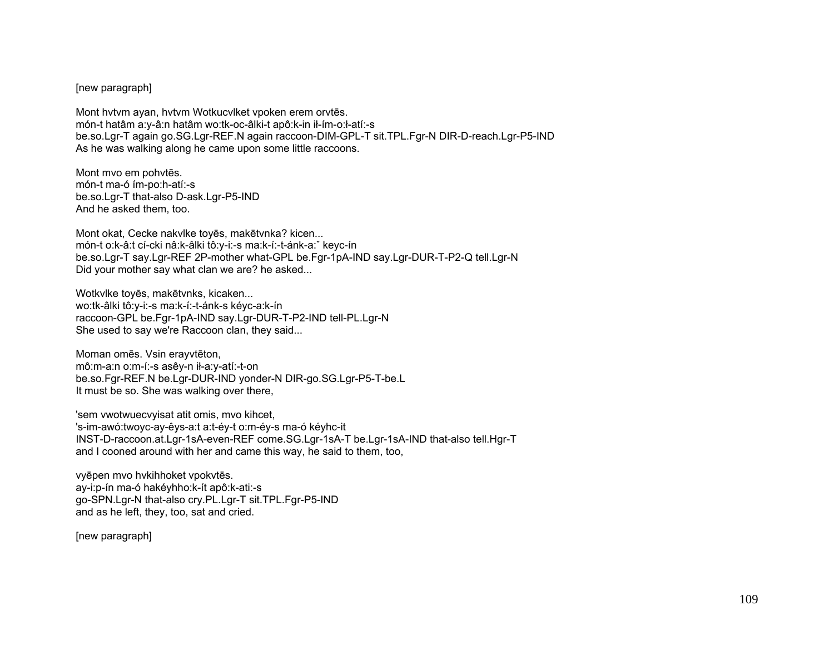## [new paragraph]

Mont hvtvm ayan, hvtvm Wotkucvlket vpoken erem orvtēs. món-t hatâm a:y-â:n hatâm wo:tk-oc-âlki-t apô:k-in ił-ím-o:ł-atí:-s be.so.Lgr-T again go.SG.Lgr-REF.N again raccoon-DIM-GPL-T sit.TPL.Fgr-N DIR-D-reach.Lgr-P5-IND As he was walking along he came upon some little raccoons.

Mont mvo em pohvtēs. món-t ma-ó ím-po:h-atí:-s be.so.Lgr-T that-also D-ask.Lgr-P5-IND And he asked them, too.

Mont okat, Cecke nakvlke toyēs, makētvnka? kicen... món-t o:k-â:t cí-cki nâ:k-âlki tô:y-i:-s ma:k-í:-t-ánk-a:ˇ keyc-ín be.so.Lgr-T say.Lgr-REF 2P-mother what-GPL be.Fgr-1pA-IND say.Lgr-DUR-T-P2-Q tell.Lgr-N Did your mother say what clan we are? he asked...

Wotkvlke toyēs, makētvnks, kicaken... wo:tk-âlki tô:y-i:-s ma:k-í:-t-ánk-s kéyc-a:k-ín raccoon-GPL be.Fgr-1pA-IND say.Lgr-DUR-T-P2-IND tell-PL.Lgr-N She used to say we're Raccoon clan, they said...

Moman omēs. Vsin erayvtēton, mô:m-a:n o:m-í:-s asêy-n ił-a:y-atí:-t-on be.so.Fgr-REF.N be.Lgr-DUR-IND yonder-N DIR-go.SG.Lgr-P5-T-be.L It must be so. She was walking over there,

'sem vwotwuecvyisat atit omis, mvo kihcet, 's-im-awó:twoyc-ay-êys-a:t a:t-éy-t o:m-éy-s ma-ó kéyhc-it INST-D-raccoon.at.Lgr-1sA-even-REF come.SG.Lgr-1sA-T be.Lgr-1sA-IND that-also tell.Hgr-T and I cooned around with her and came this way, he said to them, too,

vyēpen mvo hvkihhoket vpokvtēs. ay-i:p-ín ma-ó hakéyhho:k-ít apô:k-ati:-s go-SPN.Lgr-N that-also cry.PL.Lgr-T sit.TPL.Fgr-P5-IND and as he left, they, too, sat and cried.

[new paragraph]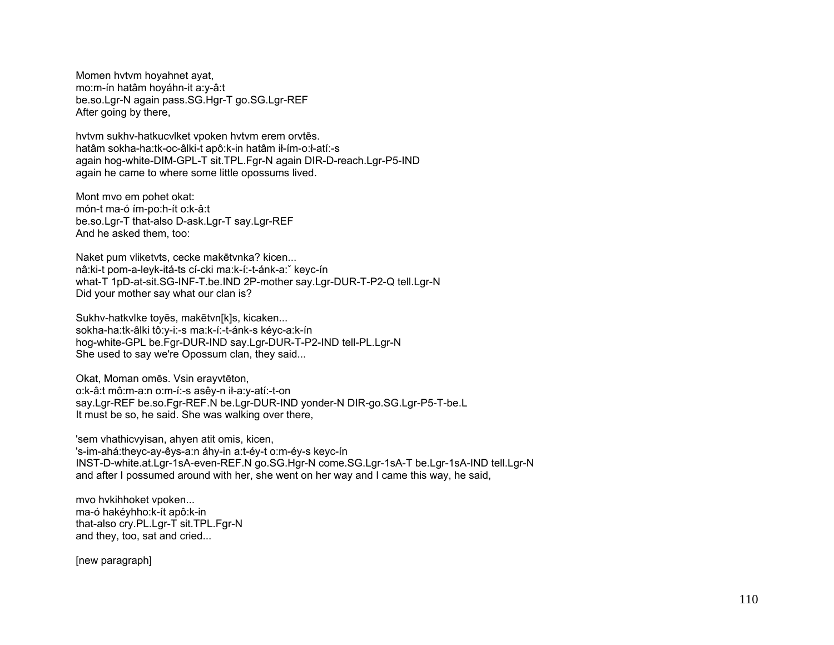Momen hvtvm hoyahnet ayat, mo:m-ín hatâm hoyáhn-it a:y-â:t be.so.Lgr-N again pass.SG.Hgr-T go.SG.Lgr-REF After going by there,

hvtvm sukhv-hatkucvlket vpoken hvtvm erem orvtēs. hatâm sokha-ha:tk-oc-âlki-t apô:k-in hatâm ił-ím-o:ł-atí:-s again hog-white-DIM-GPL-T sit.TPL.Fgr-N again DIR-D-reach.Lgr-P5-IND again he came to where some little opossums lived.

Mont mvo em pohet okat: món-t ma-ó ím-po:h-ít o:k-â:t be.so.Lgr-T that-also D-ask.Lgr-T say.Lgr-REF And he asked them, too:

Naket pum vliketvts, cecke makētvnka? kicen... nâ:ki-t pom-a-leyk-itá-ts cí-cki ma:k-í:-t-ánk-a:ˇ keyc-ín what-T 1pD-at-sit.SG-INF-T.be.IND 2P-mother say.Lgr-DUR-T-P2-Q tell.Lgr-N Did your mother say what our clan is?

Sukhv-hatkvlke toyēs, makētvn[k]s, kicaken... sokha-ha:tk-âlki tô:y-i:-s ma:k-í:-t-ánk-s kéyc-a:k-ín hog-white-GPL be.Fgr-DUR-IND say.Lgr-DUR-T-P2-IND tell-PL.Lgr-N She used to say we're Opossum clan, they said...

Okat, Moman omēs. Vsin erayvtēton, o:k-â:t mô:m-a:n o:m-í:-s asêy-n ił-a:y-atí:-t-on say.Lgr-REF be.so.Fgr-REF.N be.Lgr-DUR-IND yonder-N DIR-go.SG.Lgr-P5-T-be.L It must be so, he said. She was walking over there,

'sem vhathicvyisan, ahyen atit omis, kicen, 's-im-ahá:theyc-ay-êys-a:n áhy-in a:t-éy-t o:m-éy-s keyc-ín INST-D-white.at.Lgr-1sA-even-REF.N go.SG.Hgr-N come.SG.Lgr-1sA-T be.Lgr-1sA-IND tell.Lgr-N and after I possumed around with her, she went on her way and I came this way, he said,

mvo hvkihhoket vpoken... ma-ó hakéyhho:k-ít apô:k-in that-also cry.PL.Lgr-T sit.TPL.Fgr-N and they, too, sat and cried...

[new paragraph]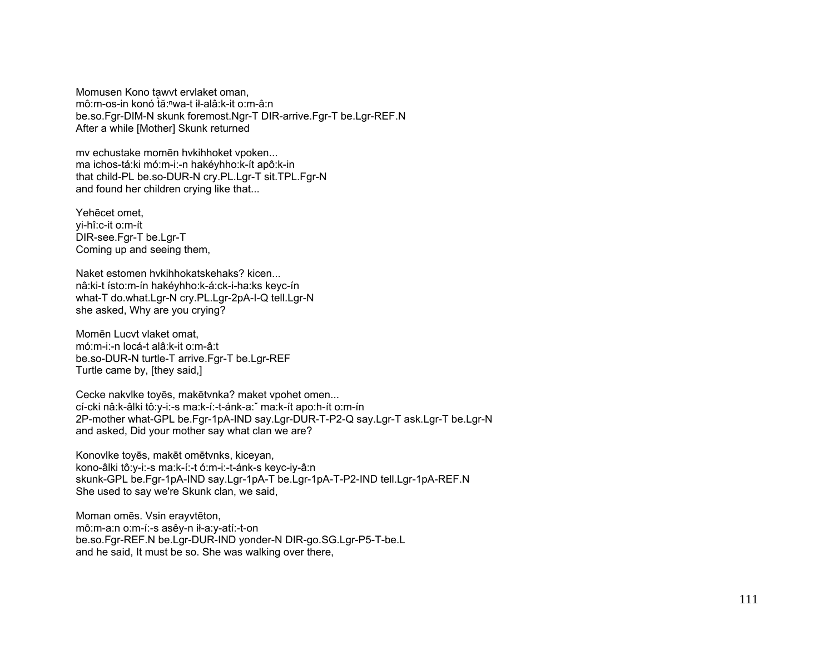Momusen Kono tawyt ervlaket oman. mô:m-os-in konó tă:<sup>n</sup>wa-t ił-alâ:k-it o:m-â:n be.so.Fqr-DIM-N skunk foremost.Ngr-T DIR-arrive.Fgr-T be.Lgr-REF.N After a while [Mother] Skunk returned

mv echustake momēn hvkihhoket vpoken... ma ichos-tá:ki mó:m-i:-n hakéyhho:k-ít apô:k-in that child-PL be.so-DUR-N cry.PL.Lgr-T sit.TPL.Fgr-N and found her children crying like that...

Yehecet omet. yi-hî:c-it o:m-ít DIR-see.Fgr-T be.Lgr-T Coming up and seeing them.

Naket estomen hykihhokatskehaks? kicen... nâ:ki-t ísto:m-ín hakéyhho:k-á:ck-i-ha:ks keyc-ín what-T do.what.Lgr-N cry.PL.Lgr-2pA-I-Q tell.Lgr-N she asked, Why are you crying?

Momēn Lucyt vlaket omat. mó:m-i:-n locá-t alâ:k-it o:m-â:t be.so-DUR-N turtle-T arrive.Fgr-T be.Lgr-REF Turtle came by, [they said,]

Cecke nakvike toyēs, makētvnka? maket vpohet omen... cí-cki nâ:k-âlki tô:v-i:-s ma:k-í:-t-ánk-a: ma:k-ít apo:h-ít o:m-ín 2P-mother what-GPL be.Fgr-1pA-IND say.Lgr-DUR-T-P2-Q say.Lgr-T ask.Lgr-T be.Lgr-N and asked. Did your mother say what clan we are?

Konovike toyēs, makēt omētvnks, kiceyan, kono-âlki tô: y-i:-s ma: k-í:-t ó: m-i:-t-ánk-s keyc-iy-â: n skunk-GPL be.Fgr-1pA-IND say.Lgr-1pA-T be.Lgr-1pA-T-P2-IND tell.Lgr-1pA-REF.N She used to say we're Skunk clan, we said,

Moman omēs. Vsin eravytēton. mô:m-a:n o:m-í:-s asêy-n ił-a:y-atí:-t-on be.so.Fgr-REF.N be.Lgr-DUR-IND yonder-N DIR-go.SG.Lgr-P5-T-be.L and he said, It must be so. She was walking over there,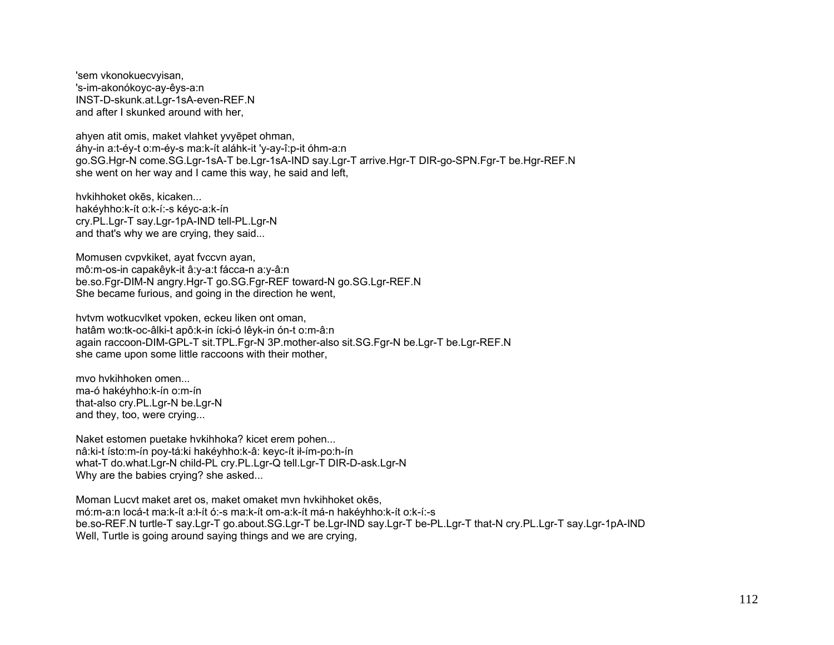'sem vkonokuecvyisan, 's-im-akonókovc-av-êvs-a:n INST-D-skunk.at.Lgr-1sA-even-REF.N and after I skunked around with her,

ahyen atit omis, maket vlahket vvyepet ohman, áhy-in a:t-éy-t o:m-éy-s ma:k-ít aláhk-it 'y-ay-î:p-it óhm-a:n go.SG.Hgr-N come.SG.Lgr-1sA-T be.Lgr-1sA-IND say.Lgr-T arrive.Hgr-T DIR-go-SPN.Fgr-T be.Hgr-REF.N she went on her way and I came this way, he said and left,

hykihhoket okes, kicaken... hakéyhho:k-ít o:k-í:-s kéyc-a:k-ín cry.PL.Lgr-T say.Lgr-1pA-IND tell-PL.Lgr-N and that's why we are crying, they said...

Momusen cvpvkiket, ayat fvccvn ayan, mô:m-os-in capakêyk-it â:y-a:t fácca-n a:y-â:n be.so.Fqr-DIM-N angry.Hqr-T go.SG.Fqr-REF toward-N go.SG.Lqr-REF.N She became furious, and going in the direction he went,

hytym wotkucylket ypoken, eckeu liken ont oman, hatâm wo:tk-oc-âlki-t apô:k-in ícki-ó lêyk-in ón-t o:m-â:n again raccoon-DIM-GPL-T sit.TPL.Fgr-N 3P.mother-also sit.SG.Fgr-N be.Lgr-T be.Lgr-REF.N she came upon some little raccoons with their mother,

myo hykihhoken omen... ma-ó hakévhho:k-ín o:m-ín that-also cry.PL.Lgr-N be.Lgr-N and they, too, were crying...

Naket estomen puetake hykihhoka? kicet erem pohen... nâ:ki-t ísto:m-ín poy-tá:ki hakéyhho:k-â: keyc-ít ił-ím-po:h-ín what-T do.what.Lgr-N child-PL cry.PL.Lgr-Q tell.Lgr-T DIR-D-ask.Lgr-N Why are the babies crying? she asked...

Moman Lucyt maket aret os, maket omaket myn hykihhoket okes. mó:m-a:n locá-t ma:k-ít a:l-ít ó:-s ma:k-ít om-a:k-ít má-n hakéyhho:k-ít o:k-í:-s be.so-REF.N turtle-T say.Lgr-T go.about.SG.Lgr-T be.Lgr-IND say.Lgr-T be-PL.Lgr-T that-N cry.PL.Lgr-T say.Lgr-1pA-IND Well, Turtle is going around saying things and we are crying.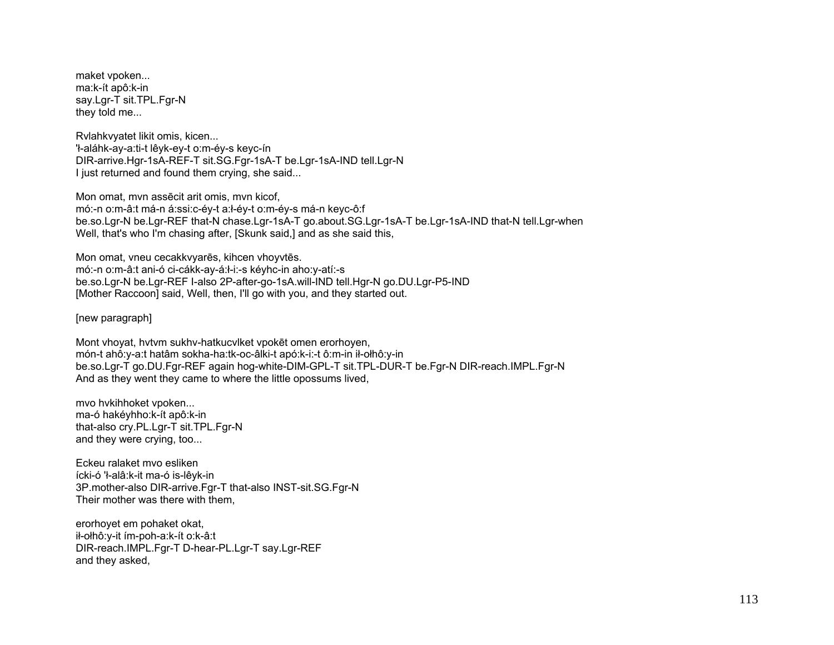maket vpoken... ma:k-ít apô:k-in say.Lgr-T sit.TPL.Fgr-N they told me...

Rvlahkvyatet likit omis, kicen...

'ł-aláhk-ay-a:ti-t lêyk-ey-t o:m-éy-s keyc-ín DIR-arrive.Hgr-1sA-REF-T sit.SG.Fgr-1sA-T be.Lgr-1sA-IND tell.Lgr-N I just returned and found them crying, she said...

Mon omat, mvn assēcit arit omis, mvn kicof, mó:-n o:m-â:t má-n á:ssi:c-éy-t a:ł-éy-t o:m-éy-s má-n keyc-ô:f be.so.Lgr-N be.Lgr-REF that-N chase.Lgr-1sA-T go.about.SG.Lgr-1sA-T be.Lgr-1sA-IND that-N tell.Lgr-when Well, that's who I'm chasing after, [Skunk said,] and as she said this,

Mon omat, vneu cecakkvyarēs, kihcen vhoyvtēs. mó:-n o:m-â:t ani-ó ci-cákk-ay-á:ł-i:-s kéyhc-in aho:y-atí:-s be.so.Lgr-N be.Lgr-REF I-also 2P-after-go-1sA.will-IND tell.Hgr-N go.DU.Lgr-P5-IND [Mother Raccoon] said, Well, then, I'll go with you, and they started out.

[new paragraph]

Mont vhoyat, hvtvm sukhv-hatkucvlket vpokēt omen erorhoyen, món-t ahô:y-a:t hatâm sokha-ha:tk-oc-âlki-t apó:k-i:-t ô:m-in ił-ołhô:y-in be.so.Lgr-T go.DU.Fgr-REF again hog-white-DIM-GPL-T sit.TPL-DUR-T be.Fgr-N DIR-reach.IMPL.Fgr-N And as they went they came to where the little opossums lived,

mvo hvkihhoket vpoken... ma-ó hakéyhho:k-ít apô:k-in that-also cry.PL.Lgr-T sit.TPL.Fgr-N and they were crying, too...

Eckeu ralaket mvo esliken ícki-ó 'ł-alâ:k-it ma-ó is-lêyk-in 3P.mother-also DIR-arrive.Fgr-T that-also INST-sit.SG.Fgr-N Their mother was there with them,

erorhoyet em pohaket okat, ił-ołhô:y-it ím-poh-a:k-ít o:k-â:t DIR-reach.IMPL.Fgr-T D-hear-PL.Lgr-T say.Lgr-REF and they asked,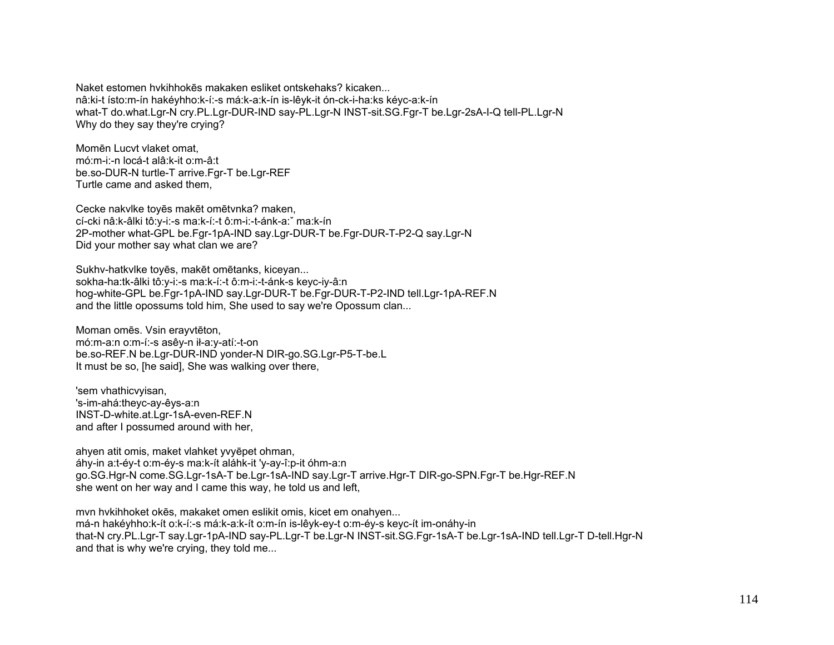Naket estomen hykihhokes makaken esliket ontskehaks? kicaken... nâ:ki-t ísto:m-ín hakévhho:k-í:-s má:k-a:k-ín is-lêvk-it ón-ck-i-ha:ks kévc-a:k-ín what-T do.what.Lgr-N cry.PL.Lgr-DUR-IND say-PL.Lgr-N INST-sit.SG.Fgr-T be.Lgr-2sA-I-Q tell-PL.Lgr-N Why do they say they're crying?

Momēn Lucvt vlaket omat. mó:m-i:-n locá-t alâ:k-it o:m-â:t be.so-DUR-N turtle-T arrive.Fgr-T be.Lgr-REF Turtle came and asked them,

Cecke nakvike toyes maket ometynka? maken, cí-cki nâ:k-âlki tô:y-i:-s ma:k-í:-t ô:m-i:-t-ánk-a: ma:k-ín 2P-mother what-GPL be.Fgr-1pA-IND say.Lgr-DUR-T be.Fgr-DUR-T-P2-Q say.Lgr-N Did your mother say what clan we are?

Sukhv-hatkvlke toyēs, makēt omētanks, kiceyan... sokha-ha:tk-âlki tô:y-i:-s ma:k-í:-t ô:m-i:-t-ánk-s keyc-iy-â:n hog-white-GPL be.Fgr-1pA-IND say.Lgr-DUR-T be.Fgr-DUR-T-P2-IND tell.Lgr-1pA-REF.N and the little opossums told him, She used to say we're Opossum clan...

Moman omēs. Vsin erayvtēton, mó:m-a:n o:m-í:-s asêy-n ił-a:y-atí:-t-on be.so-REF.N be.Lgr-DUR-IND yonder-N DIR-go.SG.Lgr-P5-T-be.L It must be so. [he said], She was walking over there,

'sem vhathicvyisan, 's-im-ahá:theyc-ay-êys-a:n INST-D-white.at.Lgr-1sA-even-REF.N and after I possumed around with her,

ahyen atit omis, maket vlahket yvyepet ohman, áhy-in a:t-éy-t o:m-éy-s ma:k-ít aláhk-it 'y-ay-î:p-it óhm-a:n go.SG.Hgr-N come.SG.Lgr-1sA-T be.Lgr-1sA-IND say.Lgr-T arrive.Hgr-T DIR-go-SPN.Fgr-T be.Hgr-REF.N she went on her way and I came this way, he told us and left,

mvn hvkihhoket okes, makaket omen eslikit omis, kicet em onahyen... má-n hakéyhho:k-ít o:k-í:-s má:k-a:k-ít o:m-ín is-lêyk-ey-t o:m-éy-s keyc-ít im-onáhy-in that-N cry.PL.Lgr-T say.Lgr-1pA-IND say-PL.Lgr-T be.Lgr-N INST-sit.SG.Fgr-1sA-T be.Lgr-1sA-IND tell.Lgr-T D-tell.Hgr-N and that is why we're crying, they told me...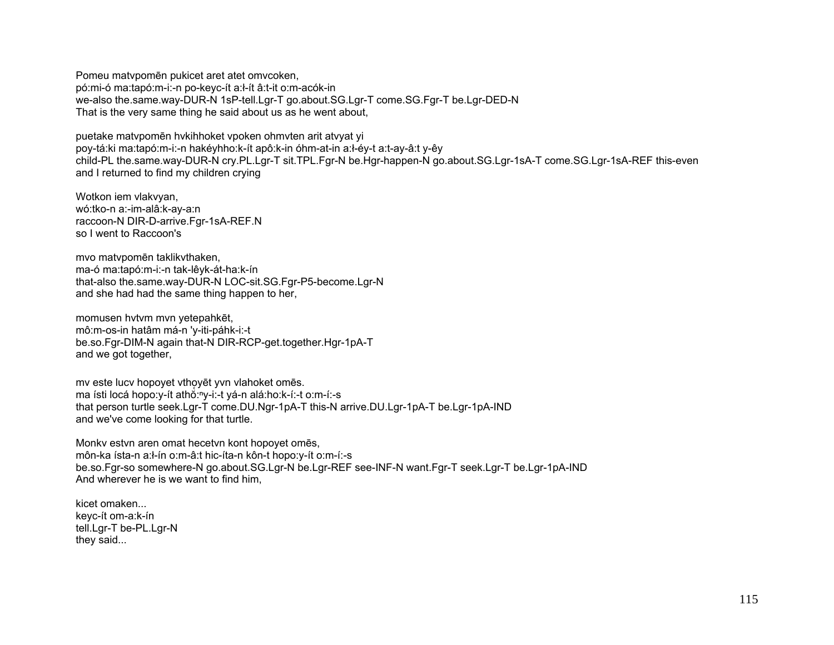Pomeu matvpomēn pukicet aret atet omvcoken, pó:mi-ó ma:tapó:m-i:-n po-keyc-ít a:ł-ít â:t-it o:m-acók-in we-also the.same.way-DUR-N 1sP-tell.Lgr-T go.about.SG.Lgr-T come.SG.Fgr-T be.Lgr-DED-N That is the very same thing he said about us as he went about,

puetake matvpomēn hvkihhoket vpoken ohmvten arit atvyat yi poy-tá:ki ma:tapó:m-i:-n hakéyhho:k-ít apô:k-in óhm-at-in a:ł-éy-t a:t-ay-â:t y-êy child-PL the.same.way-DUR-N cry.PL.Lgr-T sit.TPL.Fgr-N be.Hgr-happen-N go.about.SG.Lgr-1sA-T come.SG.Lgr-1sA-REF this-even and I returned to find my children crying

Wotkon iem vlakvyan, wó:tko-n a:-im-alâ:k-ay-a:n raccoon-N DIR-D-arrive.Fgr-1sA-REF.N so I went to Raccoon's

mvo matvpomēn taklikvthaken, ma-ó ma:tapó:m-i:-n tak-lêyk-át-ha:k-ín that-also the.same.way-DUR-N LOC-sit.SG.Fgr-P5-become.Lgr-N and she had had the same thing happen to her,

momusen hvtvm mvn yetepahkēt, mô:m-os-in hatâm má-n 'y-iti-páhk-i:-t be.so.Fgr-DIM-N again that-N DIR-RCP-get.together.Hgr-1pA-T and we got together,

my este lucy hopoyet vthoyēt yvn vlahoket omēs. ma ísti locá hopo:y-ít athŏ:<sup>n</sup>y-i:-t yá-n alá:ho:k-í:-t o:m-í:-s that person turtle seek.Lgr-T come.DU.Ngr-1pA-T this-N arrive.DU.Lgr-1pA-T be.Lgr-1pA-IND and we've come looking for that turtle.

Monkv estvn aren omat hecetvn kont hopoyet omēs, môn-ka ísta-n a:ł-ín o:m-â:t hic-íta-n kôn-t hopo:y-ít o:m-í:-s be.so.Fgr-so somewhere-N go.about.SG.Lgr-N be.Lgr-REF see-INF-N want.Fgr-T seek.Lgr-T be.Lgr-1pA-IND And wherever he is we want to find him,

kicet omaken... keyc-ít om-a:k-ín tell.Lgr-T be-PL.Lgr-N they said...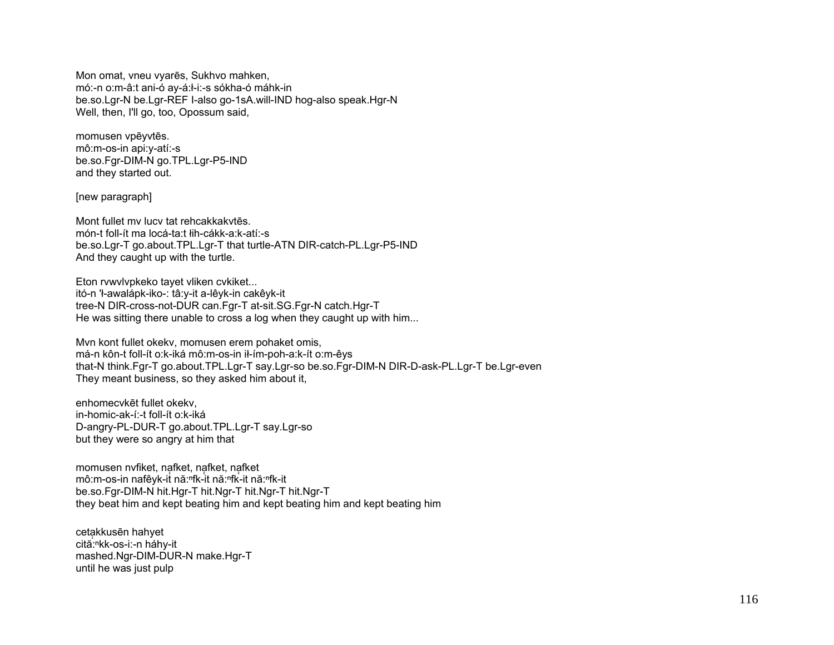Mon omat, vneu vyarēs, Sukhvo mahken, mó:-n o:m-â:t ani-ó ay-á:l-i:-s sókha-ó máhk-in be.so.Lgr-N be.Lgr-REF I-also go-1sA.will-IND hog-also speak.Hgr-N Well, then, I'll go, too, Opossum said,

momusen vpēvvtēs. mô:m-os-in api:y-atí:-s be.so.Fgr-DIM-N go.TPL.Lgr-P5-IND and they started out.

[new paragraph]

Mont fullet my lucy tat rehcakkakytes. món-t foll-ít ma locá-ta:t łih-cákk-a:k-atí:-s be.so.Lgr-T go.about.TPL.Lgr-T that turtle-ATN DIR-catch-PL.Lgr-P5-IND And they caught up with the turtle.

Eton rvwvlvpkeko tayet vliken cvkiket... itó-n 'ł-awalápk-iko-: tâ:y-it a-lêyk-in cakêyk-it tree-N DIR-cross-not-DUR can.Fgr-T at-sit.SG.Fgr-N catch.Hgr-T He was sitting there unable to cross a log when they caught up with him...

Myn kont fullet okeky, momusen erem pohaket omis, má-n kôn-t foll-ít o:k-iká mô:m-os-in ił-ím-poh-a:k-ít o:m-êys that-N think.Fgr-T go.about.TPL.Lgr-T say.Lgr-so be.so.Fgr-DIM-N DIR-D-ask-PL.Lgr-T be.Lgr-even They meant business, so they asked him about it,

enhomecvkēt fullet okekv. in-homic-ak-í:-t foll-ít o:k-iká D-angry-PL-DUR-T go.about.TPL.Lgr-T say.Lgr-so but they were so angry at him that

momusen nyfiket, nafket, nafket, nafket mô:m-os-in nafêyk-it nă:<sup>n</sup>fk-it nă:nfk-it nă:nfk-it be.so.Fgr-DIM-N hit.Hgr-T hit.Ngr-T hit.Ngr-T hit.Ngr-T they beat him and kept beating him and kept beating him and kept beating him

cetakkusēn hahyet cită:<sup>n</sup>kk-os-i:-n háhy-it mashed.Ngr-DIM-DUR-N make.Hgr-T until he was just pulp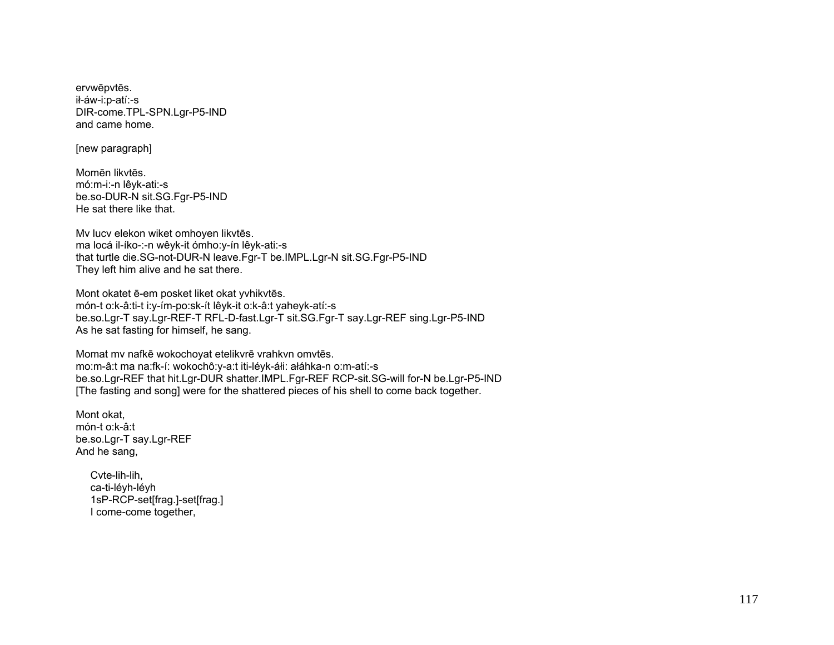ervwēpvtēs. ił-áw-i:p-atí:-s DIR-come.TPL-SPN.Lgr-P5-IND and came home.

[new paragraph]

Momēn likvtēs. mó:m-i:-n lêyk-ati:-s be.so-DUR-N sit.SG.Fgr-P5-IND He sat there like that.

Mv lucv elekon wiket omhoyen likvtēs. ma locá il-íko-:-n wêyk-it ómho:y-ín lêyk-ati:-s that turtle die.SG-not-DUR-N leave.Fgr-T be.IMPL.Lgr-N sit.SG.Fgr-P5-IND They left him alive and he sat there.

Mont okatet ē-em posket liket okat yvhikvtēs. món-t o:k-â:ti-t i:y-ím-po:sk-ít lêyk-it o:k-â:t yaheyk-atí:-s be.so.Lgr-T say.Lgr-REF-T RFL-D-fast.Lgr-T sit.SG.Fgr-T say.Lgr-REF sing.Lgr-P5-IND As he sat fasting for himself, he sang.

Momat mv nafkē wokochoyat etelikvrē vrahkvn omvtēs. mo:m-â:t ma na:fk-í: wokochô:y-a:t iti-léyk-áłi: ałáhka-n o:m-atí:-s be.so.Lgr-REF that hit.Lgr-DUR shatter.IMPL.Fgr-REF RCP-sit.SG-will for-N be.Lgr-P5-IND [The fasting and song] were for the shattered pieces of his shell to come back together.

Mont okat, món-t o:k-â:t be.so.Lgr-T say.Lgr-REF And he sang,

> Cvte-lih-lih, ca-ti-léyh-léyh 1sP-RCP-set[frag.]-set[frag.] I come-come together,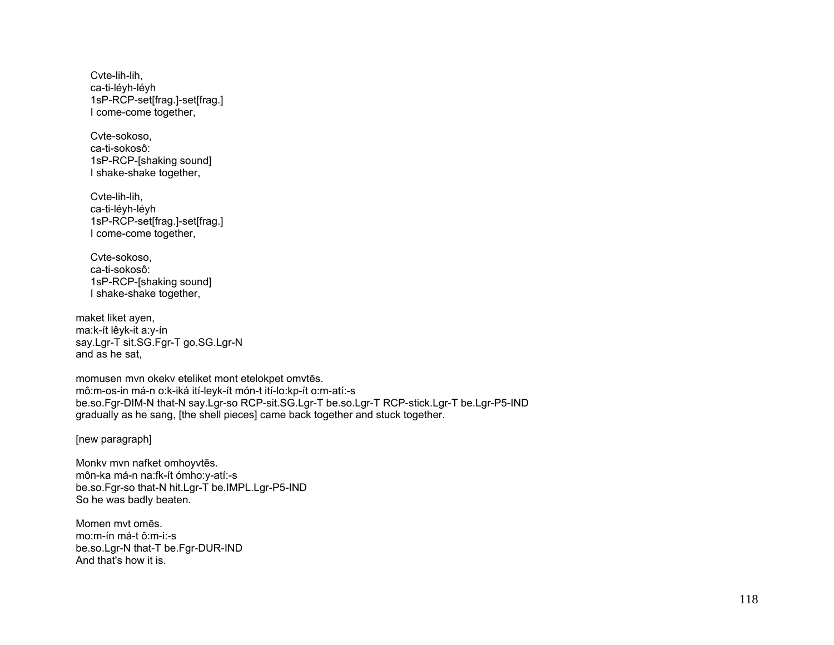Cvte-lih-lih, ca-ti-léyh-léyh 1sP-RCP-set[frag.]-set[frag.] I come-come together,

 Cvte-sokoso, ca-ti-sokosô: 1sP-RCP-[shaking sound] I shake-shake together,

 Cvte-lih-lih, ca-ti-léyh-léyh 1sP-RCP-set[frag.]-set[frag.] I come-come together,

 Cvte-sokoso, ca-ti-sokosô: 1sP-RCP-[shaking sound] I shake-shake together,

maket liket ayen, ma:k-ít lêyk-it a:y-ín say.Lgr-T sit.SG.Fgr-T go.SG.Lgr-N and as he sat,

momusen mvn okekv eteliket mont etelokpet omvtēs. mô:m-os-in má-n o:k-iká ití-leyk-ít món-t ití-lo:kp-ít o:m-atí:-s be.so.Fgr-DIM-N that-N say.Lgr-so RCP-sit.SG.Lgr-T be.so.Lgr-T RCP-stick.Lgr-T be.Lgr-P5-IND gradually as he sang, [the shell pieces] came back together and stuck together.

[new paragraph]

Monkv mvn nafket omhoyvtēs. môn-ka má-n na:fk-ít ómho:y-atí:-s be.so.Fgr-so that-N hit.Lgr-T be.IMPL.Lgr-P5-IND So he was badly beaten.

Momen mvt omēs. mo:m-ín má-t ô:m-i:-s be.so.Lgr-N that-T be.Fgr-DUR-IND And that's how it is.